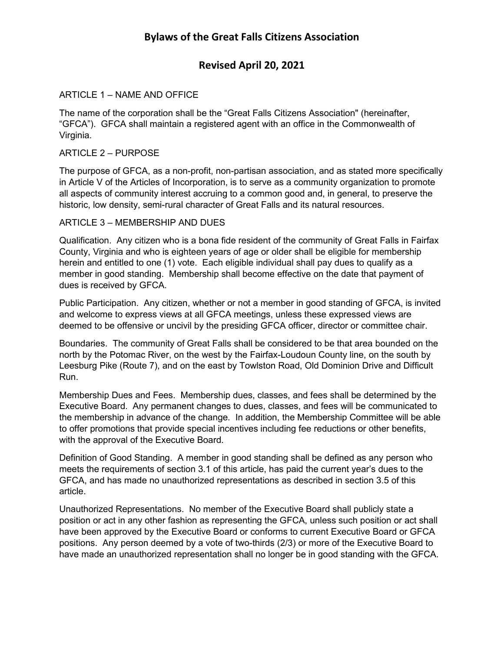# **Revised April 20, 2021**

# ARTICLE 1 – NAME AND OFFICE

The name of the corporation shall be the "Great Falls Citizens Association" (hereinafter, "GFCA"). GFCA shall maintain a registered agent with an office in the Commonwealth of Virginia.

## ARTICLE 2 – PURPOSE

The purpose of GFCA, as a non-profit, non-partisan association, and as stated more specifically in Article V of the Articles of Incorporation, is to serve as a community organization to promote all aspects of community interest accruing to a common good and, in general, to preserve the historic, low density, semi-rural character of Great Falls and its natural resources.

## ARTICLE 3 – MEMBERSHIP AND DUES

Qualification. Any citizen who is a bona fide resident of the community of Great Falls in Fairfax County, Virginia and who is eighteen years of age or older shall be eligible for membership herein and entitled to one (1) vote. Each eligible individual shall pay dues to qualify as a member in good standing. Membership shall become effective on the date that payment of dues is received by GFCA.

Public Participation. Any citizen, whether or not a member in good standing of GFCA, is invited and welcome to express views at all GFCA meetings, unless these expressed views are deemed to be offensive or uncivil by the presiding GFCA officer, director or committee chair.

Boundaries. The community of Great Falls shall be considered to be that area bounded on the north by the Potomac River, on the west by the Fairfax-Loudoun County line, on the south by Leesburg Pike (Route 7), and on the east by Towlston Road, Old Dominion Drive and Difficult Run.

Membership Dues and Fees. Membership dues, classes, and fees shall be determined by the Executive Board. Any permanent changes to dues, classes, and fees will be communicated to the membership in advance of the change. In addition, the Membership Committee will be able to offer promotions that provide special incentives including fee reductions or other benefits, with the approval of the Executive Board.

Definition of Good Standing. A member in good standing shall be defined as any person who meets the requirements of section 3.1 of this article, has paid the current year's dues to the GFCA, and has made no unauthorized representations as described in section 3.5 of this article.

Unauthorized Representations. No member of the Executive Board shall publicly state a position or act in any other fashion as representing the GFCA, unless such position or act shall have been approved by the Executive Board or conforms to current Executive Board or GFCA positions. Any person deemed by a vote of two-thirds (2/3) or more of the Executive Board to have made an unauthorized representation shall no longer be in good standing with the GFCA.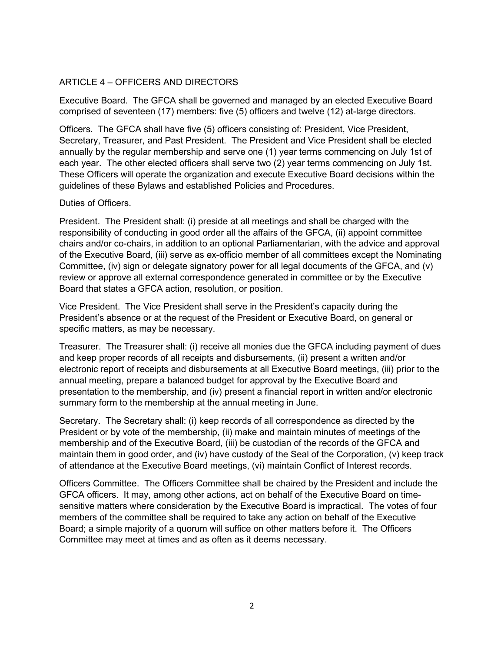# ARTICLE 4 – OFFICERS AND DIRECTORS

Executive Board. The GFCA shall be governed and managed by an elected Executive Board comprised of seventeen (17) members: five (5) officers and twelve (12) at-large directors.

Officers. The GFCA shall have five (5) officers consisting of: President, Vice President, Secretary, Treasurer, and Past President. The President and Vice President shall be elected annually by the regular membership and serve one (1) year terms commencing on July 1st of each year. The other elected officers shall serve two (2) year terms commencing on July 1st. These Officers will operate the organization and execute Executive Board decisions within the guidelines of these Bylaws and established Policies and Procedures.

## Duties of Officers.

President. The President shall: (i) preside at all meetings and shall be charged with the responsibility of conducting in good order all the affairs of the GFCA, (ii) appoint committee chairs and/or co-chairs, in addition to an optional Parliamentarian, with the advice and approval of the Executive Board, (iii) serve as ex-officio member of all committees except the Nominating Committee, (iv) sign or delegate signatory power for all legal documents of the GFCA, and (v) review or approve all external correspondence generated in committee or by the Executive Board that states a GFCA action, resolution, or position.

Vice President. The Vice President shall serve in the President's capacity during the President's absence or at the request of the President or Executive Board, on general or specific matters, as may be necessary.

Treasurer. The Treasurer shall: (i) receive all monies due the GFCA including payment of dues and keep proper records of all receipts and disbursements, (ii) present a written and/or electronic report of receipts and disbursements at all Executive Board meetings, (iii) prior to the annual meeting, prepare a balanced budget for approval by the Executive Board and presentation to the membership, and (iv) present a financial report in written and/or electronic summary form to the membership at the annual meeting in June.

Secretary. The Secretary shall: (i) keep records of all correspondence as directed by the President or by vote of the membership, (ii) make and maintain minutes of meetings of the membership and of the Executive Board, (iii) be custodian of the records of the GFCA and maintain them in good order, and (iv) have custody of the Seal of the Corporation, (v) keep track of attendance at the Executive Board meetings, (vi) maintain Conflict of Interest records.

Officers Committee. The Officers Committee shall be chaired by the President and include the GFCA officers. It may, among other actions, act on behalf of the Executive Board on timesensitive matters where consideration by the Executive Board is impractical. The votes of four members of the committee shall be required to take any action on behalf of the Executive Board; a simple majority of a quorum will suffice on other matters before it. The Officers Committee may meet at times and as often as it deems necessary.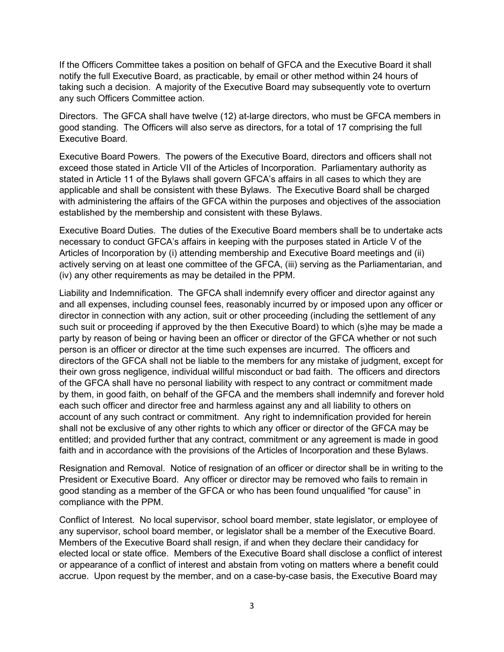If the Officers Committee takes a position on behalf of GFCA and the Executive Board it shall notify the full Executive Board, as practicable, by email or other method within 24 hours of taking such a decision. A majority of the Executive Board may subsequently vote to overturn any such Officers Committee action.

Directors. The GFCA shall have twelve (12) at-large directors, who must be GFCA members in good standing. The Officers will also serve as directors, for a total of 17 comprising the full Executive Board.

Executive Board Powers. The powers of the Executive Board, directors and officers shall not exceed those stated in Article VII of the Articles of Incorporation. Parliamentary authority as stated in Article 11 of the Bylaws shall govern GFCA's affairs in all cases to which they are applicable and shall be consistent with these Bylaws. The Executive Board shall be charged with administering the affairs of the GFCA within the purposes and objectives of the association established by the membership and consistent with these Bylaws.

Executive Board Duties. The duties of the Executive Board members shall be to undertake acts necessary to conduct GFCA's affairs in keeping with the purposes stated in Article V of the Articles of Incorporation by (i) attending membership and Executive Board meetings and (ii) actively serving on at least one committee of the GFCA, (iii) serving as the Parliamentarian, and (iv) any other requirements as may be detailed in the PPM.

Liability and Indemnification. The GFCA shall indemnify every officer and director against any and all expenses, including counsel fees, reasonably incurred by or imposed upon any officer or director in connection with any action, suit or other proceeding (including the settlement of any such suit or proceeding if approved by the then Executive Board) to which (s)he may be made a party by reason of being or having been an officer or director of the GFCA whether or not such person is an officer or director at the time such expenses are incurred. The officers and directors of the GFCA shall not be liable to the members for any mistake of judgment, except for their own gross negligence, individual willful misconduct or bad faith. The officers and directors of the GFCA shall have no personal liability with respect to any contract or commitment made by them, in good faith, on behalf of the GFCA and the members shall indemnify and forever hold each such officer and director free and harmless against any and all liability to others on account of any such contract or commitment. Any right to indemnification provided for herein shall not be exclusive of any other rights to which any officer or director of the GFCA may be entitled; and provided further that any contract, commitment or any agreement is made in good faith and in accordance with the provisions of the Articles of Incorporation and these Bylaws.

Resignation and Removal. Notice of resignation of an officer or director shall be in writing to the President or Executive Board. Any officer or director may be removed who fails to remain in good standing as a member of the GFCA or who has been found unqualified "for cause" in compliance with the PPM.

Conflict of Interest. No local supervisor, school board member, state legislator, or employee of any supervisor, school board member, or legislator shall be a member of the Executive Board. Members of the Executive Board shall resign, if and when they declare their candidacy for elected local or state office. Members of the Executive Board shall disclose a conflict of interest or appearance of a conflict of interest and abstain from voting on matters where a benefit could accrue. Upon request by the member, and on a case-by-case basis, the Executive Board may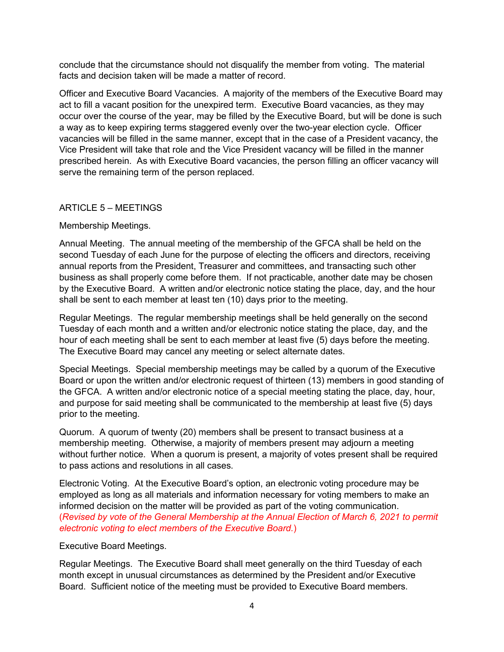conclude that the circumstance should not disqualify the member from voting. The material facts and decision taken will be made a matter of record.

Officer and Executive Board Vacancies. A majority of the members of the Executive Board may act to fill a vacant position for the unexpired term. Executive Board vacancies, as they may occur over the course of the year, may be filled by the Executive Board, but will be done is such a way as to keep expiring terms staggered evenly over the two-year election cycle. Officer vacancies will be filled in the same manner, except that in the case of a President vacancy, the Vice President will take that role and the Vice President vacancy will be filled in the manner prescribed herein. As with Executive Board vacancies, the person filling an officer vacancy will serve the remaining term of the person replaced.

## ARTICLE 5 – MEETINGS

## Membership Meetings.

Annual Meeting. The annual meeting of the membership of the GFCA shall be held on the second Tuesday of each June for the purpose of electing the officers and directors, receiving annual reports from the President, Treasurer and committees, and transacting such other business as shall properly come before them. If not practicable, another date may be chosen by the Executive Board. A written and/or electronic notice stating the place, day, and the hour shall be sent to each member at least ten (10) days prior to the meeting.

Regular Meetings. The regular membership meetings shall be held generally on the second Tuesday of each month and a written and/or electronic notice stating the place, day, and the hour of each meeting shall be sent to each member at least five (5) days before the meeting. The Executive Board may cancel any meeting or select alternate dates.

Special Meetings. Special membership meetings may be called by a quorum of the Executive Board or upon the written and/or electronic request of thirteen (13) members in good standing of the GFCA. A written and/or electronic notice of a special meeting stating the place, day, hour, and purpose for said meeting shall be communicated to the membership at least five (5) days prior to the meeting.

Quorum. A quorum of twenty (20) members shall be present to transact business at a membership meeting. Otherwise, a majority of members present may adjourn a meeting without further notice. When a quorum is present, a majority of votes present shall be required to pass actions and resolutions in all cases.

Electronic Voting. At the Executive Board's option, an electronic voting procedure may be employed as long as all materials and information necessary for voting members to make an informed decision on the matter will be provided as part of the voting communication. (*Revised by vote of the General Membership at the Annual Election of March 6, 2021 to permit electronic voting to elect members of the Executive Board.*)

## Executive Board Meetings.

Regular Meetings. The Executive Board shall meet generally on the third Tuesday of each month except in unusual circumstances as determined by the President and/or Executive Board. Sufficient notice of the meeting must be provided to Executive Board members.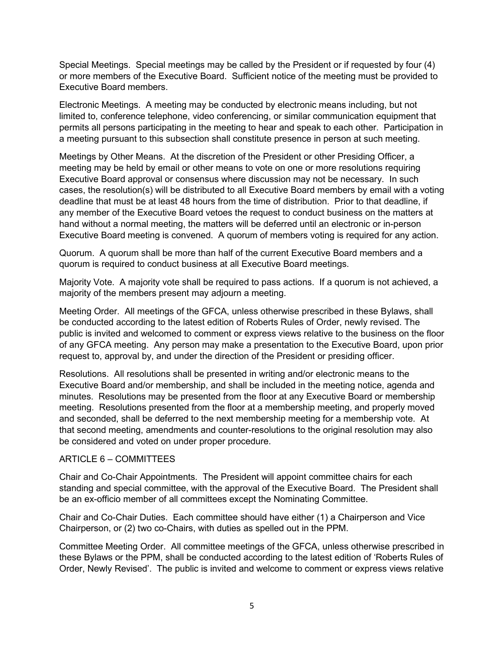Special Meetings. Special meetings may be called by the President or if requested by four (4) or more members of the Executive Board. Sufficient notice of the meeting must be provided to Executive Board members.

Electronic Meetings. A meeting may be conducted by electronic means including, but not limited to, conference telephone, video conferencing, or similar communication equipment that permits all persons participating in the meeting to hear and speak to each other. Participation in a meeting pursuant to this subsection shall constitute presence in person at such meeting.

Meetings by Other Means. At the discretion of the President or other Presiding Officer, a meeting may be held by email or other means to vote on one or more resolutions requiring Executive Board approval or consensus where discussion may not be necessary. In such cases, the resolution(s) will be distributed to all Executive Board members by email with a voting deadline that must be at least 48 hours from the time of distribution. Prior to that deadline, if any member of the Executive Board vetoes the request to conduct business on the matters at hand without a normal meeting, the matters will be deferred until an electronic or in-person Executive Board meeting is convened. A quorum of members voting is required for any action.

Quorum. A quorum shall be more than half of the current Executive Board members and a quorum is required to conduct business at all Executive Board meetings.

Majority Vote. A majority vote shall be required to pass actions. If a quorum is not achieved, a majority of the members present may adjourn a meeting.

Meeting Order. All meetings of the GFCA, unless otherwise prescribed in these Bylaws, shall be conducted according to the latest edition of Roberts Rules of Order, newly revised. The public is invited and welcomed to comment or express views relative to the business on the floor of any GFCA meeting. Any person may make a presentation to the Executive Board, upon prior request to, approval by, and under the direction of the President or presiding officer.

Resolutions. All resolutions shall be presented in writing and/or electronic means to the Executive Board and/or membership, and shall be included in the meeting notice, agenda and minutes. Resolutions may be presented from the floor at any Executive Board or membership meeting. Resolutions presented from the floor at a membership meeting, and properly moved and seconded, shall be deferred to the next membership meeting for a membership vote. At that second meeting, amendments and counter-resolutions to the original resolution may also be considered and voted on under proper procedure.

#### ARTICLE 6 – COMMITTEES

Chair and Co-Chair Appointments. The President will appoint committee chairs for each standing and special committee, with the approval of the Executive Board. The President shall be an ex-officio member of all committees except the Nominating Committee.

Chair and Co-Chair Duties. Each committee should have either (1) a Chairperson and Vice Chairperson, or (2) two co-Chairs, with duties as spelled out in the PPM.

Committee Meeting Order. All committee meetings of the GFCA, unless otherwise prescribed in these Bylaws or the PPM, shall be conducted according to the latest edition of 'Roberts Rules of Order, Newly Revised'. The public is invited and welcome to comment or express views relative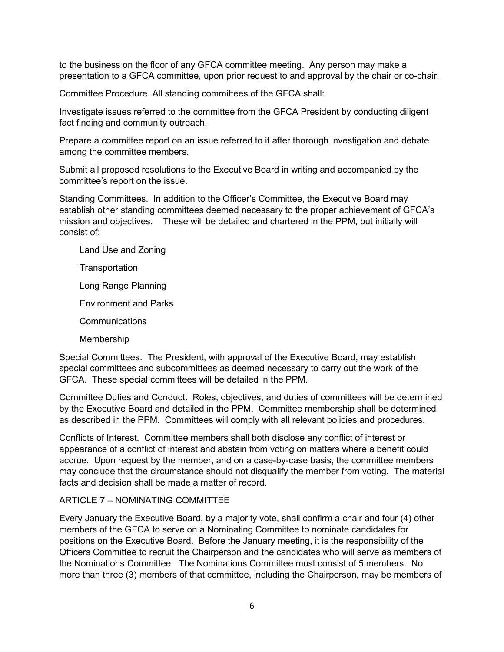to the business on the floor of any GFCA committee meeting. Any person may make a presentation to a GFCA committee, upon prior request to and approval by the chair or co-chair.

Committee Procedure. All standing committees of the GFCA shall:

Investigate issues referred to the committee from the GFCA President by conducting diligent fact finding and community outreach.

Prepare a committee report on an issue referred to it after thorough investigation and debate among the committee members.

Submit all proposed resolutions to the Executive Board in writing and accompanied by the committee's report on the issue.

Standing Committees. In addition to the Officer's Committee, the Executive Board may establish other standing committees deemed necessary to the proper achievement of GFCA's mission and objectives. These will be detailed and chartered in the PPM, but initially will consist of:

Land Use and Zoning

**Transportation** 

Long Range Planning

Environment and Parks

**Communications** 

Membership

Special Committees. The President, with approval of the Executive Board, may establish special committees and subcommittees as deemed necessary to carry out the work of the GFCA. These special committees will be detailed in the PPM.

Committee Duties and Conduct. Roles, objectives, and duties of committees will be determined by the Executive Board and detailed in the PPM. Committee membership shall be determined as described in the PPM. Committees will comply with all relevant policies and procedures.

Conflicts of Interest. Committee members shall both disclose any conflict of interest or appearance of a conflict of interest and abstain from voting on matters where a benefit could accrue. Upon request by the member, and on a case-by-case basis, the committee members may conclude that the circumstance should not disqualify the member from voting. The material facts and decision shall be made a matter of record.

## ARTICLE 7 – NOMINATING COMMITTEE

Every January the Executive Board, by a majority vote, shall confirm a chair and four (4) other members of the GFCA to serve on a Nominating Committee to nominate candidates for positions on the Executive Board. Before the January meeting, it is the responsibility of the Officers Committee to recruit the Chairperson and the candidates who will serve as members of the Nominations Committee. The Nominations Committee must consist of 5 members. No more than three (3) members of that committee, including the Chairperson, may be members of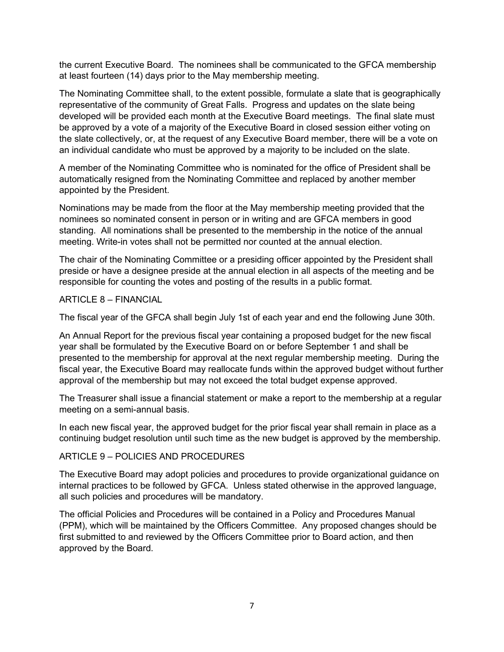the current Executive Board. The nominees shall be communicated to the GFCA membership at least fourteen (14) days prior to the May membership meeting.

The Nominating Committee shall, to the extent possible, formulate a slate that is geographically representative of the community of Great Falls. Progress and updates on the slate being developed will be provided each month at the Executive Board meetings. The final slate must be approved by a vote of a majority of the Executive Board in closed session either voting on the slate collectively, or, at the request of any Executive Board member, there will be a vote on an individual candidate who must be approved by a majority to be included on the slate.

A member of the Nominating Committee who is nominated for the office of President shall be automatically resigned from the Nominating Committee and replaced by another member appointed by the President.

Nominations may be made from the floor at the May membership meeting provided that the nominees so nominated consent in person or in writing and are GFCA members in good standing. All nominations shall be presented to the membership in the notice of the annual meeting. Write-in votes shall not be permitted nor counted at the annual election.

The chair of the Nominating Committee or a presiding officer appointed by the President shall preside or have a designee preside at the annual election in all aspects of the meeting and be responsible for counting the votes and posting of the results in a public format.

#### ARTICLE 8 – FINANCIAL

The fiscal year of the GFCA shall begin July 1st of each year and end the following June 30th.

An Annual Report for the previous fiscal year containing a proposed budget for the new fiscal year shall be formulated by the Executive Board on or before September 1 and shall be presented to the membership for approval at the next regular membership meeting. During the fiscal year, the Executive Board may reallocate funds within the approved budget without further approval of the membership but may not exceed the total budget expense approved.

The Treasurer shall issue a financial statement or make a report to the membership at a regular meeting on a semi-annual basis.

In each new fiscal year, the approved budget for the prior fiscal year shall remain in place as a continuing budget resolution until such time as the new budget is approved by the membership.

## ARTICLE 9 – POLICIES AND PROCEDURES

The Executive Board may adopt policies and procedures to provide organizational guidance on internal practices to be followed by GFCA. Unless stated otherwise in the approved language, all such policies and procedures will be mandatory.

The official Policies and Procedures will be contained in a Policy and Procedures Manual (PPM), which will be maintained by the Officers Committee. Any proposed changes should be first submitted to and reviewed by the Officers Committee prior to Board action, and then approved by the Board.